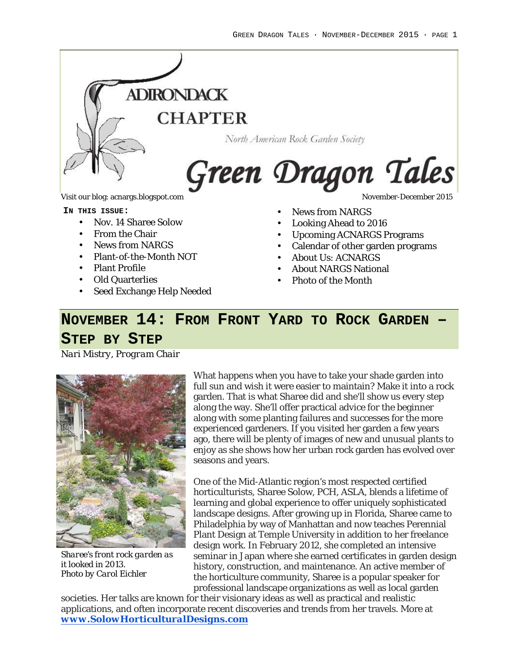

Visit our blog: acnargs.blogspot.com November-December 2015

**IN THIS ISSUE:**

- Nov. 14 Sharee Solow
- From the Chair
- News from NARGS
- Plant-of-the-Month NOT
- Plant Profile
- Old Quarterlies
- Seed Exchange Help Needed

- News from NARGS
- Looking Ahead to 2016
- Upcoming ACNARGS Programs
- Calendar of other garden programs
- About Us: ACNARGS
- About NARGS National
- Photo of the Month

# **NOVEMBER 14: FROM FRONT YARD TO ROCK GARDEN –**

#### **STEP BY STEP**

*Nari Mistry, Program Chair*



*Sharee's front rock garden as it looked in 2013. Photo by Carol Eichler*

What happens when you have to take your shade garden into full sun and wish it were easier to maintain? Make it into a rock garden. That is what Sharee did and she'll show us every step along the way. She'll offer practical advice for the beginner along with some planting failures and successes for the more experienced gardeners. If you visited her garden a few years ago, there will be plenty of images of new and unusual plants to enjoy as she shows how her urban rock garden has evolved over seasons and years.

One of the Mid-Atlantic region's most respected certified horticulturists, Sharee Solow, PCH, ASLA, blends a lifetime of learning and global experience to offer uniquely sophisticated landscape designs. After growing up in Florida, Sharee came to Philadelphia by way of Manhattan and now teaches Perennial Plant Design at Temple University in addition to her freelance design work. In February 2012, she completed an intensive seminar in Japan where she earned certificates in garden design history, construction, and maintenance. An active member of the horticulture community, Sharee is a popular speaker for professional landscape organizations as well as local garden

societies. Her talks are known for their visionary ideas as well as practical and realistic applications, and often incorporate recent discoveries and trends from her travels. More at *www.SolowHorticulturalDesigns.com*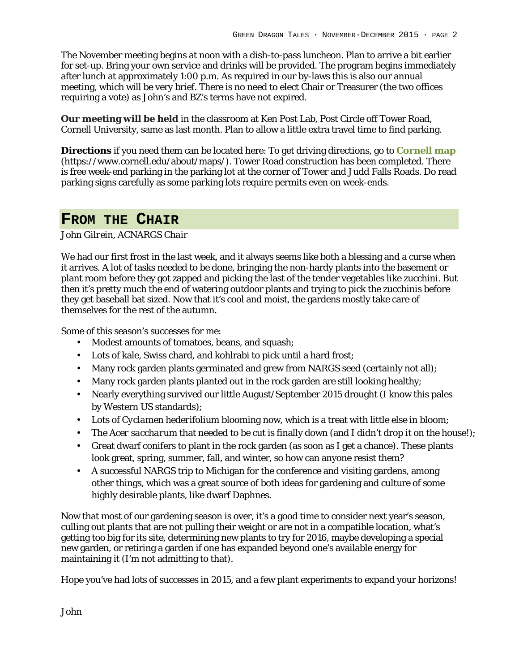The November meeting begins at noon with a dish-to-pass luncheon. Plan to arrive a bit earlier for set-up. Bring your own service and drinks will be provided. The program begins immediately after lunch at approximately 1:00 p.m. As required in our by-laws this is also our annual meeting, which will be very brief. There is no need to elect Chair or Treasurer (the two offices requiring a vote) as John's and BZ's terms have not expired.

**Our meeting will be held** in the classroom at Ken Post Lab, Post Circle off Tower Road, Cornell University, same as last month. Plan to allow a little extra travel time to find parking.

**Directions** if you need them can be located here: To get driving directions, go to **Cornell map** (https://www.cornell.edu/about/maps/). Tower Road construction has been completed. There is free week-end parking in the parking lot at the corner of Tower and Judd Falls Roads. Do read parking signs carefully as some parking lots require permits even on week-ends.

# **FROM THE CHAIR**

*John Gilrein, ACNARGS Chair*

We had our first frost in the last week, and it always seems like both a blessing and a curse when it arrives. A lot of tasks needed to be done, bringing the non-hardy plants into the basement or plant room before they got zapped and picking the last of the tender vegetables like zucchini. But then it's pretty much the end of watering outdoor plants and trying to pick the zucchinis before they get baseball bat sized. Now that it's cool and moist, the gardens mostly take care of themselves for the rest of the autumn.

Some of this season's successes for me:

- Modest amounts of tomatoes, beans, and squash;
- Lots of kale, Swiss chard, and kohlrabi to pick until a hard frost;
- Many rock garden plants germinated and grew from NARGS seed (certainly not all);
- Many rock garden plants planted out in the rock garden are still looking healthy;
- Nearly everything survived our little August/September 2015 drought (I know this pales by Western US standards);
- Lots of *Cyclamen hederifolium* blooming now, which is a treat with little else in bloom;
- The *Acer saccharum* that needed to be cut is finally down (and I didn't drop it on the house!);
- Great dwarf conifers to plant in the rock garden (as soon as I get a chance). These plants look great, spring, summer, fall, and winter, so how can anyone resist them?
- A successful NARGS trip to Michigan for the conference and visiting gardens, among other things, which was a great source of both ideas for gardening and culture of some highly desirable plants, like dwarf Daphnes.

Now that most of our gardening season is over, it's a good time to consider next year's season, culling out plants that are not pulling their weight or are not in a compatible location, what's getting too big for its site, determining new plants to try for 2016, maybe developing a special new garden, or retiring a garden if one has expanded beyond one's available energy for maintaining it (I'm not admitting to that).

Hope you've had lots of successes in 2015, and a few plant experiments to expand your horizons!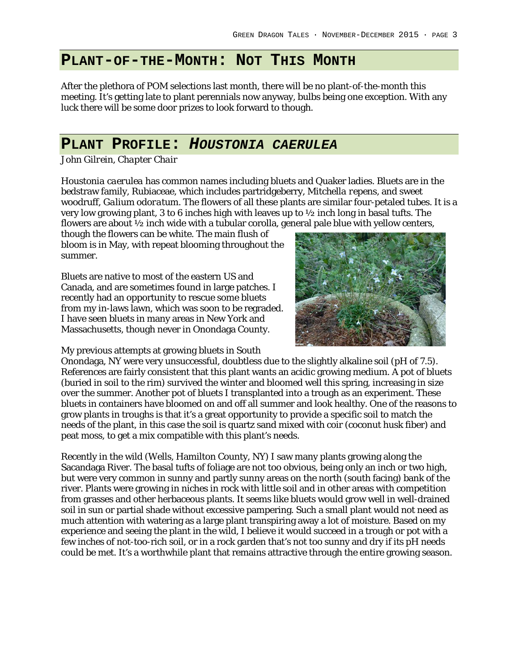### **PLANT-OF-THE-MONTH: NOT THIS MONTH**

After the plethora of POM selections last month, there will be no plant-of-the-month this meeting. It's getting late to plant perennials now anyway, bulbs being one exception. With any luck there will be some door prizes to look forward to though.

### **PLANT PROFILE:** *HOUSTONIA CAERULEA*

*John Gilrein, Chapter Chair*

*Houstonia caerulea* has common names including bluets and Quaker ladies. Bluets are in the bedstraw family, Rubiaceae, which includes partridgeberry, *Mitchella repens*, and sweet woodruff, *Galium odoratum*. The flowers of all these plants are similar four-petaled tubes. It is a very low growing plant, 3 to 6 inches high with leaves up to ½ inch long in basal tufts. The flowers are about ½ inch wide with a tubular corolla, general pale blue with yellow centers,

though the flowers can be white. The main flush of bloom is in May, with repeat blooming throughout the summer.

Bluets are native to most of the eastern US and Canada, and are sometimes found in large patches. I recently had an opportunity to rescue some bluets from my in-laws lawn, which was soon to be regraded. I have seen bluets in many areas in New York and Massachusetts, though never in Onondaga County.



My previous attempts at growing bluets in South

Onondaga, NY were very unsuccessful, doubtless due to the slightly alkaline soil (pH of 7.5). References are fairly consistent that this plant wants an acidic growing medium. A pot of bluets (buried in soil to the rim) survived the winter and bloomed well this spring, increasing in size over the summer. Another pot of bluets I transplanted into a trough as an experiment. These bluets in containers have bloomed on and off all summer and look healthy. One of the reasons to grow plants in troughs is that it's a great opportunity to provide a specific soil to match the needs of the plant, in this case the soil is quartz sand mixed with coir (coconut husk fiber) and peat moss, to get a mix compatible with this plant's needs.

Recently in the wild (Wells, Hamilton County, NY) I saw many plants growing along the Sacandaga River. The basal tufts of foliage are not too obvious, being only an inch or two high, but were very common in sunny and partly sunny areas on the north (south facing) bank of the river. Plants were growing in niches in rock with little soil and in other areas with competition from grasses and other herbaceous plants. It seems like bluets would grow well in well-drained soil in sun or partial shade without excessive pampering. Such a small plant would not need as much attention with watering as a large plant transpiring away a lot of moisture. Based on my experience and seeing the plant in the wild, I believe it would succeed in a trough or pot with a few inches of not-too-rich soil, or in a rock garden that's not too sunny and dry if its pH needs could be met. It's a worthwhile plant that remains attractive through the entire growing season.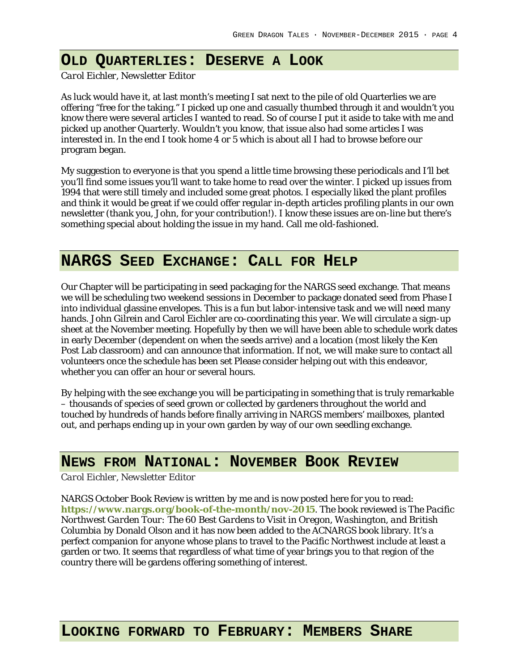### **OLD QUARTERLIES: DESERVE A LOOK**

*Carol Eichler, Newsletter Editor*

As luck would have it, at last month's meeting I sat next to the pile of old Quarterlies we are offering "free for the taking." I picked up one and casually thumbed through it and wouldn't you know there were several articles I wanted to read. So of course I put it aside to take with me and picked up another Quarterly. Wouldn't you know, that issue also had some articles I was interested in. In the end I took home 4 or 5 which is about all I had to browse before our program began.

My suggestion to everyone is that you spend a little time browsing these periodicals and I'll bet you'll find some issues you'll want to take home to read over the winter. I picked up issues from 1994 that were still timely and included some great photos. I especially liked the plant profiles and think it would be great if we could offer regular in-depth articles profiling plants in our own newsletter (thank you, John, for your contribution!). I know these issues are on-line but there's something special about holding the issue in my hand. Call me old-fashioned.

### **NARGS SEED EXCHANGE: CALL FOR HELP**

Our Chapter will be participating in seed packaging for the NARGS seed exchange. That means we will be scheduling two weekend sessions in December to package donated seed from Phase I into individual glassine envelopes. This is a fun but labor-intensive task and we will need many hands. John Gilrein and Carol Eichler are co-coordinating this year. We will circulate a sign-up sheet at the November meeting. Hopefully by then we will have been able to schedule work dates in early December (dependent on when the seeds arrive) and a location (most likely the Ken Post Lab classroom) and can announce that information. If not, we will make sure to contact all volunteers once the schedule has been set Please consider helping out with this endeavor, whether you can offer an hour or several hours.

By helping with the see exchange you will be participating in something that is truly remarkable – thousands of species of seed grown or collected by gardeners throughout the world and touched by hundreds of hands before finally arriving in NARGS members' mailboxes, planted out, and perhaps ending up in your own garden by way of our own seedling exchange.

### **NEWS FROM NATIONAL: NOVEMBER BOOK REVIEW**

*Carol Eichler, Newsletter Editor*

NARGS October Book Review is written by me and is now posted here for you to read: **https://www.nargs.org/book-of-the-month/nov-2015**. The book reviewed is *The Pacific Northwest Garden Tour: The 60 Best Gardens to Visit in Oregon, Washington, and British Columbia* by Donald Olson and it has now been added to the ACNARGS book library. It's a perfect companion for anyone whose plans to travel to the Pacific Northwest include at least a garden or two. It seems that regardless of what time of year brings you to that region of the country there will be gardens offering something of interest.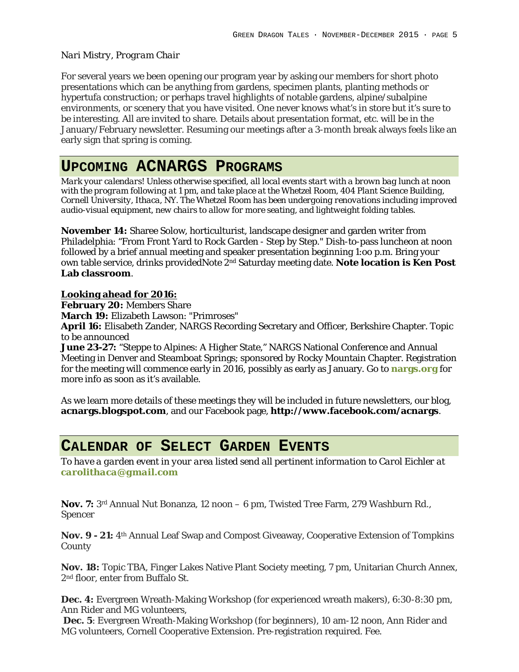#### *Nari Mistry, Program Chair*

For several years we been opening our program year by asking our members for short photo presentations which can be anything from gardens, specimen plants, planting methods or hypertufa construction; or perhaps travel highlights of notable gardens, alpine/subalpine environments, or scenery that you have visited. One never knows what's in store but it's sure to be interesting. All are invited to share. Details about presentation format, etc. will be in the January/February newsletter. Resuming our meetings after a 3-month break always feels like an early sign that spring is coming.

# **UPCOMING ACNARGS PROGRAMS**

*Mark your calendars! Unless otherwise specified, all local events start with a brown bag lunch at noon with the program following at 1 pm, and take place at the Whetzel Room, 404 Plant Science Building, Cornell University, Ithaca, NY. The Whetzel Room has been undergoing renovations including improved audio-visual equipment, new chairs to allow for more seating, and lightweight folding tables.*

**November 14:** Sharee Solow, horticulturist, landscape designer and garden writer from Philadelphia: "From Front Yard to Rock Garden - Step by Step." Dish-to-pass luncheon at noon followed by a brief annual meeting and speaker presentation beginning 1:oo p.m. Bring your own table service, drinks providedNote 2nd Saturday meeting date. **Note location is Ken Post Lab classroom**.

**Looking ahead for 2016:**

**February 20:** Members Share

**March 19:** Elizabeth Lawson: "Primroses"

**April 16:** Elisabeth Zander, NARGS Recording Secretary and Officer, Berkshire Chapter. Topic to be announced

**June 23-27:** "Steppe to Alpines: A Higher State," NARGS National Conference and Annual Meeting in Denver and Steamboat Springs; sponsored by Rocky Mountain Chapter. Registration for the meeting will commence early in 2016, possibly as early as January. Go to **nargs.org** for more info as soon as it's available.

As we learn more details of these meetings they will be included in future newsletters, our blog, **acnargs.blogspot.com**, and our Facebook page, **http://www.facebook.com/acnargs**.

### **CALENDAR OF SELECT GARDEN EVENTS**

*To have a garden event in your area listed send all pertinent information to Carol Eichler at carolithaca@gmail.com*

**Nov. 7:** 3rd Annual Nut Bonanza, 12 noon – 6 pm, Twisted Tree Farm, 279 Washburn Rd., Spencer

**Nov. 9 - 21:** 4th Annual Leaf Swap and Compost Giveaway, Cooperative Extension of Tompkins County

**Nov. 18:** Topic TBA, Finger Lakes Native Plant Society meeting, 7 pm, Unitarian Church Annex, 2<sup>nd</sup> floor, enter from Buffalo St.

**Dec. 4:** Evergreen Wreath-Making Workshop (for experienced wreath makers), 6:30-8:30 pm, Ann Rider and MG volunteers,

**Dec. 5**: Evergreen Wreath-Making Workshop (for beginners), 10 am-12 noon, Ann Rider and MG volunteers, Cornell Cooperative Extension. Pre-registration required. Fee.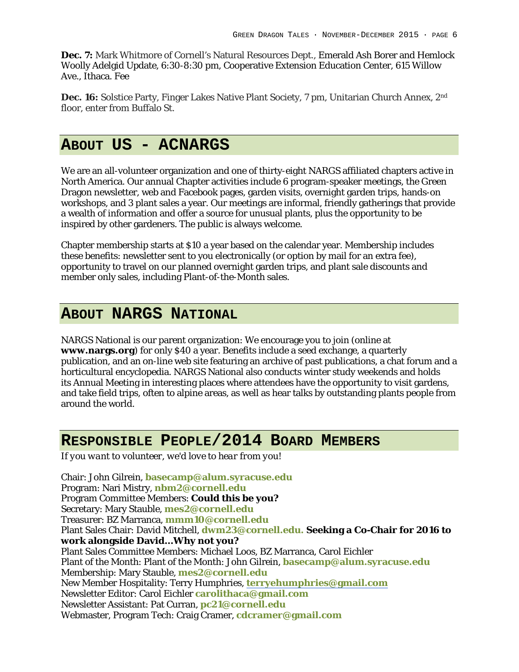**Dec. 7:** Mark Whitmore of Cornell's Natural Resources Dept., Emerald Ash Borer and Hemlock Woolly Adelgid Update, 6:30-8:30 pm, Cooperative Extension Education Center, 615 Willow Ave., Ithaca. Fee

**Dec. 16:** Solstice Party, Finger Lakes Native Plant Society, 7 pm, Unitarian Church Annex, 2nd floor, enter from Buffalo St.

# **ABOUT US - ACNARGS**

We are an all-volunteer organization and one of thirty-eight NARGS affiliated chapters active in North America. Our annual Chapter activities include 6 program-speaker meetings, the Green Dragon newsletter, web and Facebook pages, garden visits, overnight garden trips, hands-on workshops, and 3 plant sales a year. Our meetings are informal, friendly gatherings that provide a wealth of information and offer a source for unusual plants, plus the opportunity to be inspired by other gardeners. The public is always welcome.

Chapter membership starts at \$10 a year based on the calendar year. Membership includes these benefits: newsletter sent to you electronically (or option by mail for an extra fee), opportunity to travel on our planned overnight garden trips, and plant sale discounts and member only sales, including Plant-of-the-Month sales.

# **ABOUT NARGS NATIONAL**

NARGS National is our parent organization: We encourage you to join (online at **www.nargs.org**) for only \$40 a year. Benefits include a seed exchange, a quarterly publication, and an on-line web site featuring an archive of past publications, a chat forum and a horticultural encyclopedia. NARGS National also conducts winter study weekends and holds its Annual Meeting in interesting places where attendees have the opportunity to visit gardens, and take field trips, often to alpine areas, as well as hear talks by outstanding plants people from around the world.

# **RESPONSIBLE PEOPLE/2014 BOARD MEMBERS**

*If you want to volunteer, we'd love to hear from you!*

Chair: John Gilrein, **basecamp@alum.syracuse.edu** Program: Nari Mistry, **nbm2@cornell.edu** Program Committee Members: **Could this be you?** Secretary: Mary Stauble, **mes2@cornell.edu** Treasurer: BZ Marranca, **mmm10@cornell.edu** Plant Sales Chair: David Mitchell, **dwm23@cornell.edu. Seeking a Co-Chair for 2016 to work alongside David…Why not you?** Plant Sales Committee Members: Michael Loos, BZ Marranca, Carol Eichler Plant of the Month: Plant of the Month: John Gilrein, **basecamp@alum.syracuse.edu** Membership: Mary Stauble, **mes2@cornell.edu** New Member Hospitality: Terry Humphries, **terryehumphries@gmail.com** Newsletter Editor: Carol Eichler **carolithaca@gmail.com** Newsletter Assistant: Pat Curran, **pc21@cornell.edu** Webmaster, Program Tech: Craig Cramer, **cdcramer@gmail.com**